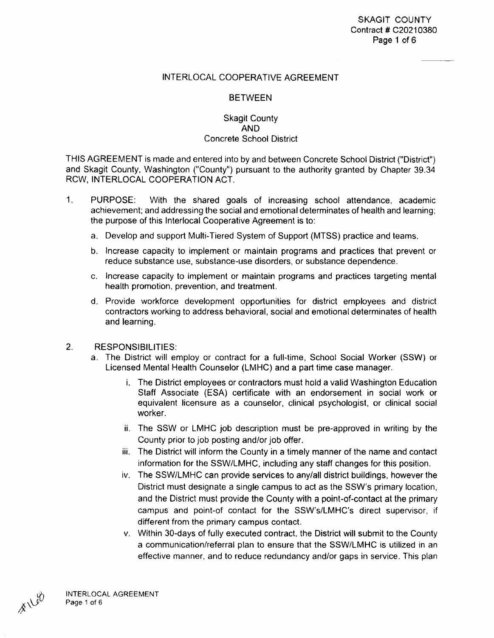#### INTERLOCAL COOPERATIVE AGREEMENT

#### BETWEEN

#### Skagit County **AND**  Concrete School District

THIS AGREEMENT is made and entered into by and between Concrete School District ("District") and Skagit County, Washington ("County") pursuant to the authority granted by Chapter 39.34 RCW, INTERLOCAL COOPERATION ACT.

- 1. PURPOSE: With the shared goals of increasing school attendance, academic achievement; and addressing the social and emotional determinates of health and learning; the purpose of this lnterlocal Cooperative Agreement is to:
	- a. Develop and support Multi-Tiered System of Support (MTSS) practice and teams.
	- b. Increase capacity to implement or maintain programs and practices that prevent or reduce substance use, substance-use disorders, or substance dependence.
	- c. Increase capacity to implement or maintain programs and practices targeting mental health promotion, prevention, and treatment.
	- d. Provide workforce development opportunities for district employees and district contractors working to address behavioral, social and emotional determinates of health and learning.
- 2. RESPONSIBILITIES:
	- a. The District will employ or contract for a full-time, School Social Worker (SSW) or Licensed Mental Health Counselor (LMHC) and a part time case manager.
		- i. The District employees or contractors must hold a valid Washington Education Staff Associate (ESA) certificate with an endorsement in social work or equivalent licensure as a counselor, clinical psychologist, or clinical social worker.
		- ii. The SSW or LMHC job description must be pre-approved in writing by the County prior to job posting and/or job offer.
		- iii. The District will inform the County in a timely manner of the name and contact information for the SSW/LMHC, including any staff changes for this position.
		- iv. The SSW/LMHC can provide services to any/all district buildings, however the District must designate a single campus to act as the SSW's primary location, and the District must provide the County with a point-of-contact at the primary campus and point-of contact for the SSW's/LMHC's direct supervisor, if different from the primary campus contact.
		- v. Within 30-days of fully executed contract, the District will submit to the County a communication/referral plan to ensure that the SSW/LMHC is utilized in an effective manner, and to reduce redundancy and/or gaps in service. This plan

 $A^{180}$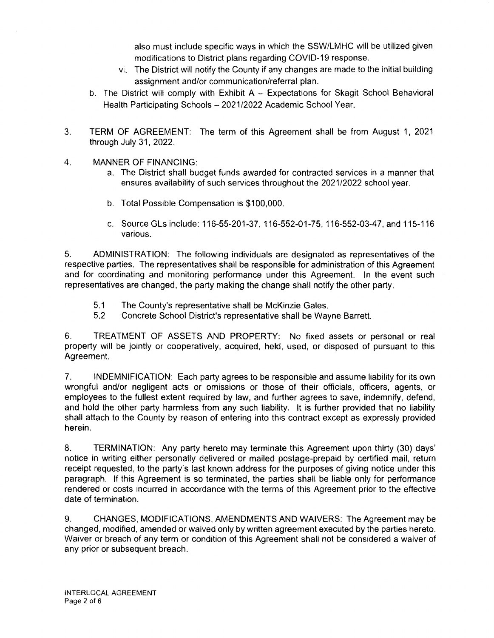also must include specific ways in which the SSW/LMHC will be utilized given modifications to District plans regarding COVID-19 response.

- vi. The District will notify the County if any changes are made to the initial building assignment and/or communication/referral plan.
- b. The District will comply with Exhibit A Expectations for Skagit School Behavioral Health Participating Schools - 2021/2022 Academic School Year.
- 3. TERM OF AGREEMENT: The term of this Agreement shall be from August 1, 2021 through July 31, 2022.
- 4. **MANNER** OF **FINANCING:** 
	- a. The District shall budget funds awarded for contracted services in a manner that ensures availability of such services throughout the 2021/2022 school year.
	- b. Total Possible Compensation is \$100,000.
	- c. Source Gls include: 116-55-201-37, 116-552-01-75, 116-552-03-47, and 115-116 various.

5. ADMINISTRATION: The following individuals are designated as representatives of the respective parties. The representatives shall be responsible for administration of this Agreement and for coordinating and monitoring performance under this Agreement. In the event such representatives are changed, the party making the change shall notify the other party.

- 5.1 The County's representative shall be McKinzie Gales.
- 5.2 Concrete School District's representative shall be Wayne Barrett.

6. TREATMENT OF ASSETS AND PROPERTY: No fixed assets or personal or real property will be jointly or cooperatively, acquired, held, used, or disposed of pursuant to this Agreement.

7. INDEMNIFICATION: Each party agrees to be responsible and assume liability for its own wrongful and/or negligent acts or omissions or those of their officials, officers, agents, or employees to the fullest extent required by law, and further agrees to save, indemnify, defend, and hold the other party harmless from any such liability. It is further provided that no liability shall attach to the County by reason of entering into this contract except as expressly provided herein.

8. TERMINATION: Any party hereto may terminate this Agreement upon thirty (30) days' notice in writing either personally delivered or mailed postage-prepaid by certified mail, return receipt requested, to the party's last known address for the purposes of giving notice under this paragraph. If this Agreement is so terminated, the parties shall be liable only for performance rendered or costs incurred in accordance with the terms of this Agreement prior to the effective date of termination.

9. CHANGES, MODIFICATIONS, AMENDMENTS AND WAIVERS: The Agreement may be changed, modified, amended or waived only by written agreement executed by the parties hereto. Waiver or breach of any term or condition of this Agreement shall not be considered a waiver of any prior or subsequent breach.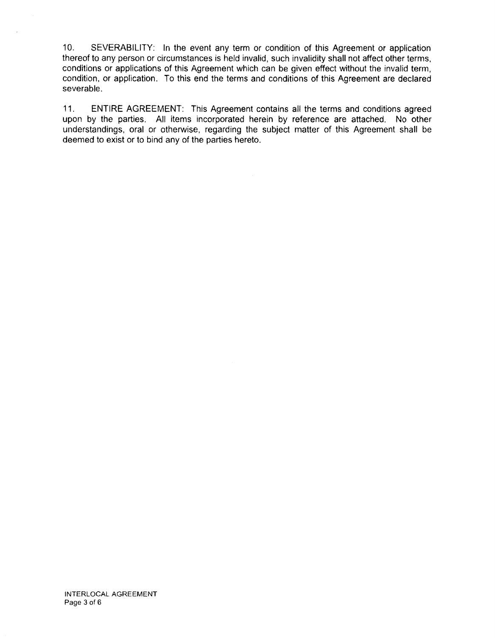10. SEVERABILITY: In the event any term or condition of this Agreement or application thereof to any person or circumstances is held invalid, such invalidity shall not affect other terms, conditions or applications of this Agreement which can be given effect without the invalid term, condition, or application. To this end the terms and conditions of this Agreement are declared severable.

11. ENTIRE AGREEMENT: This Agreement contains all the terms and conditions agreed upon by the parties. All items incorporated herein by reference are attached. No other understandings, oral or otherwise, regarding the subject matter of this Agreement shall be deemed to exist or to bind any of the parties hereto.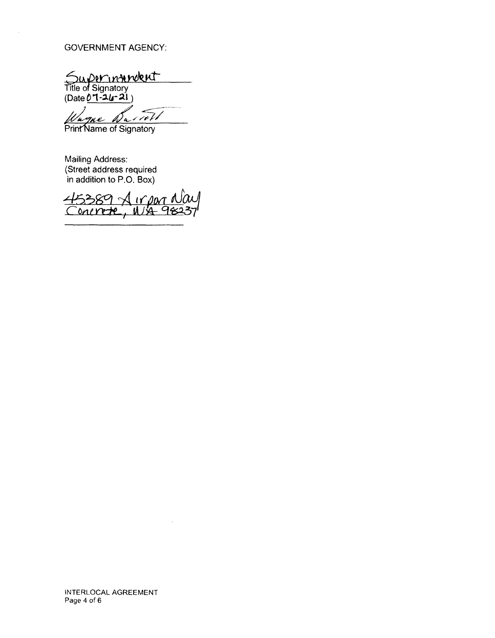#### **GOVERNMENT AGENCY:**

Superintendent

 $(Date 07-24-21)$ 

inW 'a

Print Name of Signatory

**Mailing Address:** (Street address required in addition to P.O. Box)

5389 Airpor No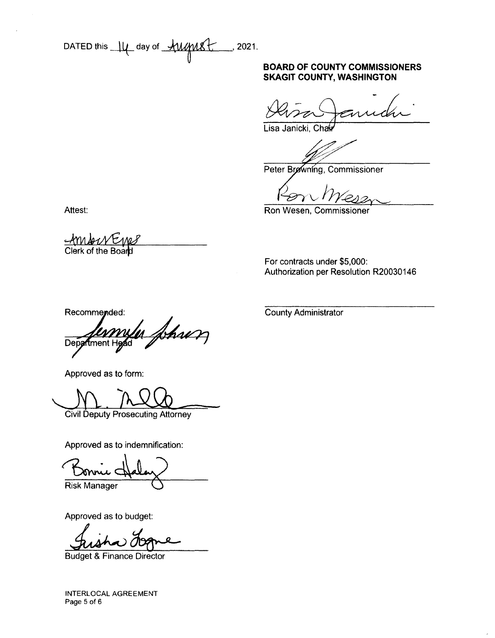DATED this  $\mu$  day of *AMME*  $2021.$ 

#### **BOARD OF COUNTY COMMISSIONERS SKAGIT COUNTY, WASHINGTON**

Lisa Janicki, Chau

Peter Browning, Commissioner

Ron Wesen, Commissioner

Attest:

<u>AMANEME</u><br>Clerk of the Board

For contracts under \$5,000: Authorization per Resolution R20030146

Recommended:

In Johnon ftment Head Depa

Approved as to form:

**Civil Deputy Prosecuting Attorney** 

Approved as to indemnification:

**Risk Manager** 

Approved as to budget:

**Budget & Finance Director** 

**INTERLOCAL AGREEMENT** Page 5 of 6

**County Administrator**